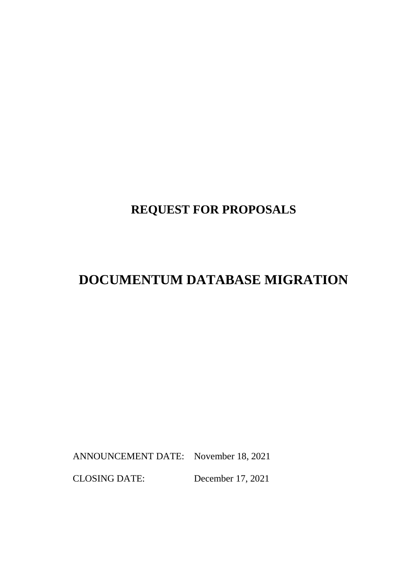## **REQUEST FOR PROPOSALS**

# **DOCUMENTUM DATABASE MIGRATION**

ANNOUNCEMENT DATE: November 18, 2021

CLOSING DATE: December 17, 2021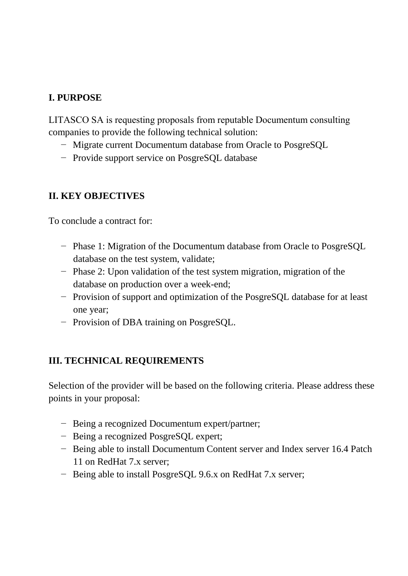### **I. PURPOSE**

LITASCO SA is requesting proposals from reputable Documentum сonsulting companies to provide the following technical solution:

- − Migrate current Documentum database from Oracle to PosgreSQL
- − Provide support service on PosgreSQL database

### **II. KEY OBJECTIVES**

To conclude a contract for:

- − Phase 1: Migration of the Documentum database from Oracle to PosgreSQL database on the test system, validate;
- − Phase 2: Upon validation of the test system migration, migration of the database on production over a week-end;
- − Provision of support and optimization of the PosgreSQL database for at least one year;
- − Provision of DBA training on PosgreSQL.

### **III. TECHNICAL REQUIREMENTS**

Selection of the provider will be based on the following criteria. Please address these points in your proposal:

- − Being a recognized Documentum expert/partner;
- − Being a recognized PosgreSQL expert;
- − Being able to install Documentum Content server and Index server 16.4 Patch 11 on RedHat 7.x server;
- − Being able to install PosgreSQL 9.6.x on RedHat 7.x server;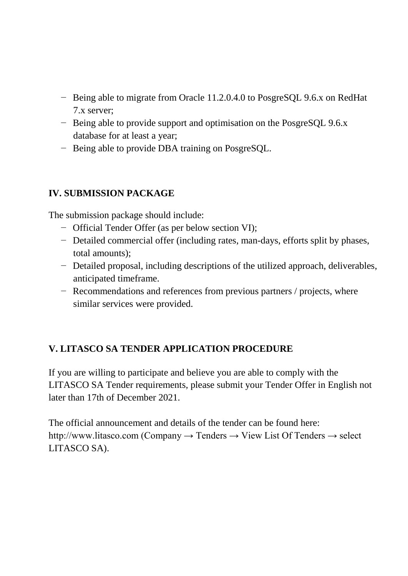- − Being able to migrate from Oracle 11.2.0.4.0 to PosgreSQL 9.6.x on RedHat 7.x server;
- − Being able to provide support and optimisation on the PosgreSQL 9.6.x database for at least a year;
- − Being able to provide DBA training on PosgreSQL.

#### **IV. SUBMISSION PACKAGE**

The submission package should include:

- − Official Tender Offer (as per below section VI);
- − Detailed commercial offer (including rates, man-days, efforts split by phases, total amounts);
- − Detailed proposal, including descriptions of the utilized approach, deliverables, anticipated timeframe.
- − Recommendations and references from previous partners / projects, where similar services were provided.

### **V. LITASCO SA TENDER APPLICATION PROCEDURE**

If you are willing to participate and believe you are able to comply with the LITASCO SA Tender requirements, please submit your Tender Offer in English not later than 17th of December 2021.

The official announcement and details of the tender can be found here: http://www.litasco.com (Company  $\rightarrow$  Tenders  $\rightarrow$  View List Of Tenders  $\rightarrow$  select LITASCO SA).